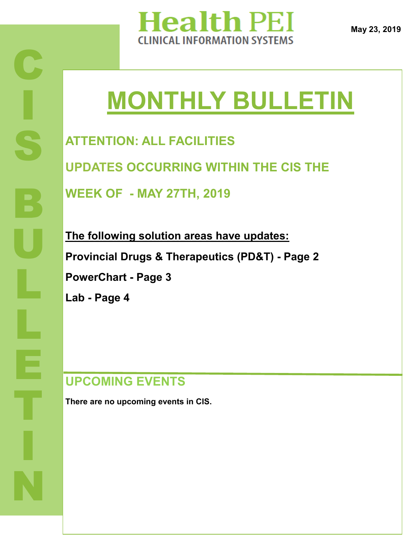

**May 23, 2019**

# **MONTHLY BULLETIN**

**ATTENTION: ALL FACILITIES UPDATES OCCURRING WITHIN THE CIS THE** 

**WEEK OF - MAY 27TH, 2019**

**The following solution areas have updates: Provincial Drugs & Therapeutics (PD&T) - Page 2 PowerChart - Page 3 Lab - Page 4** 

## **UPCOMING EVENTS**

**There are no upcoming events in CIS.**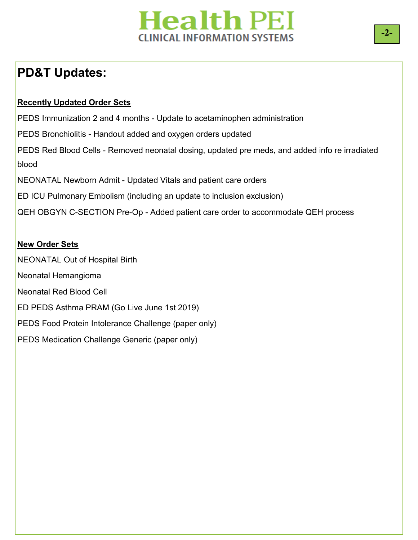# **Health PEI CLINICAL INFORMATION SYSTEMS**

# **PD&T Updates:**

#### **Recently Updated Order Sets**

PEDS Immunization 2 and 4 months - Update to acetaminophen administration PEDS Bronchiolitis - Handout added and oxygen orders updated PEDS Red Blood Cells - Removed neonatal dosing, updated pre meds, and added info re irradiated blood NEONATAL Newborn Admit - Updated Vitals and patient care orders ED ICU Pulmonary Embolism (including an update to inclusion exclusion) QEH OBGYN C-SECTION Pre-Op - Added patient care order to accommodate QEH process

#### **New Order Sets**

NEONATAL Out of Hospital Birth Neonatal Hemangioma Neonatal Red Blood Cell ED PEDS Asthma PRAM (Go Live June 1st 2019) PEDS Food Protein Intolerance Challenge (paper only) PEDS Medication Challenge Generic (paper only)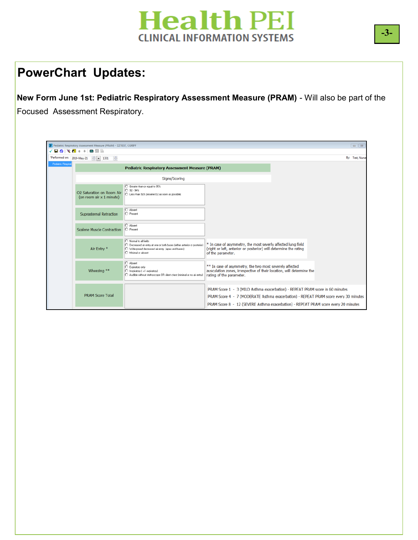

### **PowerChart Updates:**

**New Form June 1st: Pediatric Respiratory Assessment Measure (PRAM)** - Will also be part of the Focused Assessment Respiratory.

|                    | P Pediatric Respiratory Assessment Measure (PRAM) - ZZTEST, CGRIFF<br>$\Box$ $\Box$<br>8日<br>$\checkmark$ do $\checkmark$ do $\checkmark$ |                                                                                                                                                                                 |                                                                                                                                                                                                                                                              |  |                  |  |
|--------------------|-------------------------------------------------------------------------------------------------------------------------------------------|---------------------------------------------------------------------------------------------------------------------------------------------------------------------------------|--------------------------------------------------------------------------------------------------------------------------------------------------------------------------------------------------------------------------------------------------------------|--|------------------|--|
|                    | *Performed on: 2019-May-21 - 1331<br>÷                                                                                                    |                                                                                                                                                                                 |                                                                                                                                                                                                                                                              |  | By: Test, Nurse, |  |
| Pediatric Respirat |                                                                                                                                           | <b>Pediatric Respiratory Assessment Measure (PRAM)</b>                                                                                                                          |                                                                                                                                                                                                                                                              |  |                  |  |
|                    |                                                                                                                                           | Signs/Scoring                                                                                                                                                                   |                                                                                                                                                                                                                                                              |  |                  |  |
|                    | O2 Saturation on Room Air<br>(on room air x 1 minute)                                                                                     | Greater than or equal to 95%<br>$\bigcirc$ 92 - 94%<br>C Less than 92% (resume D2 as soon as possible)                                                                          |                                                                                                                                                                                                                                                              |  |                  |  |
|                    | <b>Suprasternal Retraction</b>                                                                                                            | O Absent<br>O Present                                                                                                                                                           |                                                                                                                                                                                                                                                              |  |                  |  |
|                    | <b>Scalene Muscle Contraction</b>                                                                                                         | O Absent<br>O Present                                                                                                                                                           |                                                                                                                                                                                                                                                              |  |                  |  |
|                    | Air Entry *                                                                                                                               | O Normal to all fields<br>O Decreased air entry at one or both bases feither anterior or posterior)<br>O Widespread decreased air entry (apex and bases)<br>O Minimal or absent | * In case of asymmetry, the most severly affected lung field<br>(right or left, anterior or posterior) will determine the rating<br>of the parameter.                                                                                                        |  |                  |  |
|                    | Wheezing **                                                                                                                               | O Absent<br>C Expiratory only<br>O Inspiratory (+/- expiratory)<br>O Audible without stethoscope OR silent chest (minimal or no air entry)                                      | ** In case of asymmetry, the two most severely affected<br>ausculation zones, irrespective of their location, will determine the<br>rating of the parameter.                                                                                                 |  |                  |  |
|                    | <b>PRAM Score Total</b>                                                                                                                   |                                                                                                                                                                                 | PRAM Score 1 - 3 (MILD Asthma exacerbation) - REPEAT PRAM score in 60 minutes<br>PRAM Score 4 - 7 (MODERATE Asthma exacerbation) - REPEAT PRAM score every 30 minutes<br>PRAM Score 8 - 12 (SEVERE Asthma exacerbation) - REPEAT PRAM score every 20 minutes |  |                  |  |